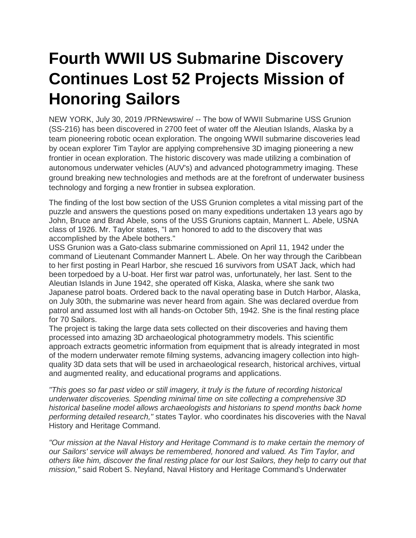## **Fourth WWII US Submarine Discovery Continues Lost 52 Projects Mission of Honoring Sailors**

NEW YORK, July 30, 2019 /PRNewswire/ -- The bow of WWII Submarine USS Grunion (SS-216) has been discovered in 2700 feet of water off the Aleutian Islands, Alaska by a team pioneering robotic ocean exploration. The ongoing WWII submarine discoveries lead by ocean explorer Tim Taylor are applying comprehensive 3D imaging pioneering a new frontier in ocean exploration. The historic discovery was made utilizing a combination of autonomous underwater vehicles (AUV's) and advanced photogrammetry imaging. These ground breaking new technologies and methods are at the forefront of underwater business technology and forging a new frontier in subsea exploration.

The finding of the lost bow section of the USS Grunion completes a vital missing part of the puzzle and answers the questions posed on many expeditions undertaken 13 years ago by John, Bruce and Brad Abele, sons of the USS Grunions captain, Mannert L. Abele, USNA class of 1926. Mr. Taylor states, "I am honored to add to the discovery that was accomplished by the Abele bothers."

USS Grunion was a Gato-class submarine commissioned on April 11, 1942 under the command of Lieutenant Commander Mannert L. Abele. On her way through the Caribbean to her first posting in Pearl Harbor, she rescued 16 survivors from USAT Jack, which had been torpedoed by a U-boat. Her first war patrol was, unfortunately, her last. Sent to the Aleutian Islands in June 1942, she operated off Kiska, Alaska, where she sank two Japanese patrol boats. Ordered back to the naval operating base in Dutch Harbor, Alaska, on July 30th, the submarine was never heard from again. She was declared overdue from patrol and assumed lost with all hands-on October 5th, 1942. She is the final resting place for 70 Sailors.

The project is taking the large data sets collected on their discoveries and having them processed into amazing 3D archaeological photogrammetry models. This scientific approach extracts geometric information from equipment that is already integrated in most of the modern underwater remote filming systems, advancing imagery collection into highquality 3D data sets that will be used in archaeological research, historical archives, virtual and augmented reality, and educational programs and applications.

*"This goes so far past video or still imagery, it truly is the future of recording historical underwater discoveries. Spending minimal time on site collecting a comprehensive 3D historical baseline model allows archaeologists and historians to spend months back home performing detailed research,"* states Taylor. who coordinates his discoveries with the Naval History and Heritage Command.

*"Our mission at the Naval History and Heritage Command is to make certain the memory of our Sailors' service will always be remembered, honored and valued. As Tim Taylor, and others like him, discover the final resting place for our lost Sailors, they help to carry out that mission,"* said Robert S. Neyland, Naval History and Heritage Command's Underwater